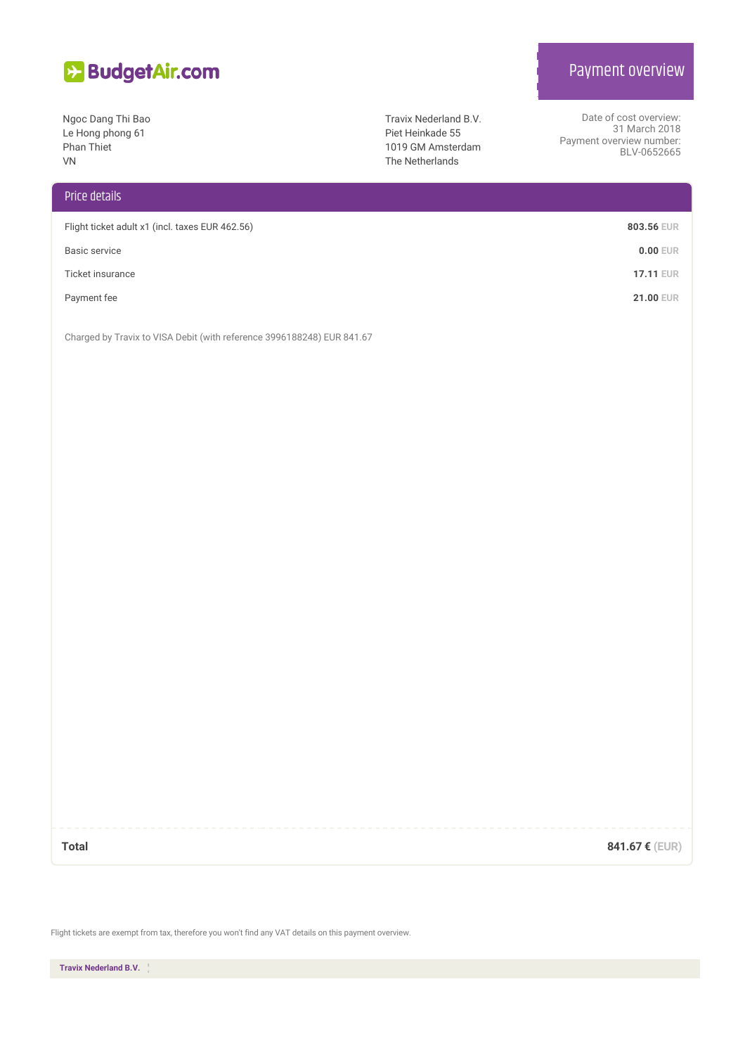

Ngoc Dang Thi Bao Le Hong phong 61 Phan Thiet VN

## Price details

| Flight ticket adult x1 (incl. taxes EUR 462.56) | 803.56 EUR       |
|-------------------------------------------------|------------------|
| Basic service                                   | $0.00$ EUR       |
| Ticket insurance                                | <b>17.11 EUR</b> |
| Payment fee                                     | <b>21.00 EUR</b> |

Charged by Travix to VISA Debit (with reference 3996188248) EUR 841.67

**Total 841.67 € (EUR)**

Flight tickets are exempt from tax, therefore you won't find any VAT details on this payment overview.

**Travix Nederland B.V.**

## Payment overview

Date of cost overview: 31 March 2018

BLV-0652665

Payment overview number:

Travix Nederland B.V. Piet Heinkade 55 1019 GM Amsterdam The Netherlands